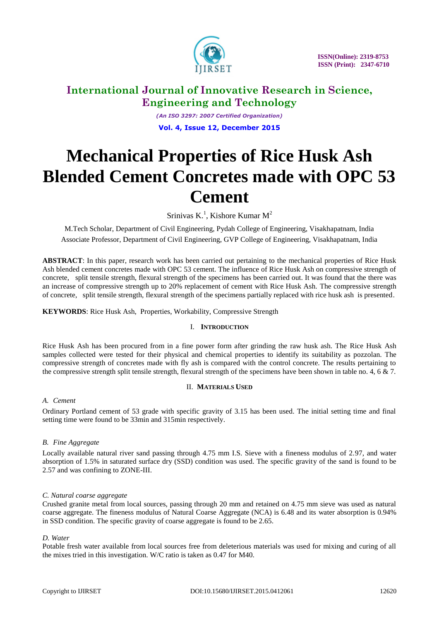

 **ISSN(Online): 2319-8753 ISSN (Print): 2347-6710** 

# **International Journal of Innovative Research in Science, Engineering and Technology**

*(An ISO 3297: 2007 Certified Organization)* **Vol. 4, Issue 12, December 2015**

# **Mechanical Properties of Rice Husk Ash Blended Cement Concretes made with OPC 53 Cement**

Srinivas K.<sup>1</sup>, Kishore Kumar M<sup>2</sup>

M.Tech Scholar, Department of Civil Engineering, Pydah College of Engineering, Visakhapatnam, India Associate Professor, Department of Civil Engineering, GVP College of Engineering, Visakhapatnam, India

**ABSTRACT**: In this paper, research work has been carried out pertaining to the mechanical properties of Rice Husk Ash blended cement concretes made with OPC 53 cement. The influence of Rice Husk Ash on compressive strength of concrete, split tensile strength, flexural strength of the specimens has been carried out. It was found that the there was an increase of compressive strength up to 20% replacement of cement with Rice Husk Ash. The compressive strength of concrete, split tensile strength, flexural strength of the specimens partially replaced with rice husk ash is presented.

**KEYWORDS**: Rice Husk Ash, Properties, Workability, Compressive Strength

#### I. **INTRODUCTION**

Rice Husk Ash has been procured from in a fine power form after grinding the raw husk ash. The Rice Husk Ash samples collected were tested for their physical and chemical properties to identify its suitability as pozzolan. The compressive strength of concretes made with fly ash is compared with the control concrete. The results pertaining to the compressive strength split tensile strength, flexural strength of the specimens have been shown in table no. 4, 6  $\&$  7.

#### II. **MATERIALS USED**

#### *A. Cement*

Ordinary Portland cement of 53 grade with specific gravity of 3.15 has been used. The initial setting time and final setting time were found to be 33min and 315min respectively.

#### *B. Fine Aggregate*

Locally available natural river sand passing through 4.75 mm I.S. Sieve with a fineness modulus of 2.97, and water absorption of 1.5% in saturated surface dry (SSD) condition was used. The specific gravity of the sand is found to be 2.57 and was confining to ZONE-III.

#### *C. Natural coarse aggregate*

Crushed granite metal from local sources, passing through 20 mm and retained on 4.75 mm sieve was used as natural coarse aggregate. The fineness modulus of Natural Coarse Aggregate (NCA) is 6.48 and its water absorption is 0.94% in SSD condition. The specific gravity of coarse aggregate is found to be 2.65.

#### *D. Water*

Potable fresh water available from local sources free from deleterious materials was used for mixing and curing of all the mixes tried in this investigation. W/C ratio is taken as 0.47 for M40.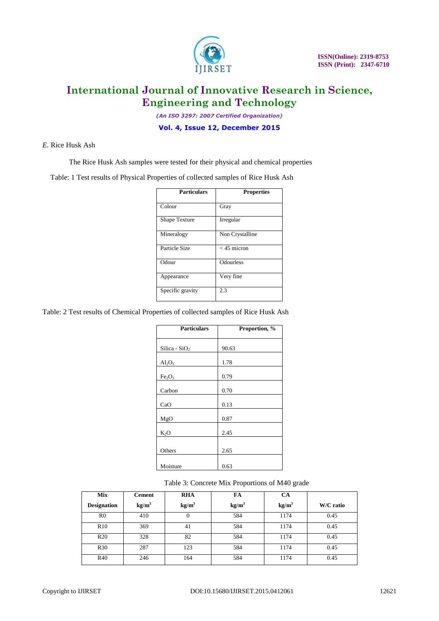

*(An ISO 3297: 2007 Certified Organization)*

#### **Vol. 4, Issue 12, December 2015**

#### *E.* Rice Husk Ash

The Rice Husk Ash samples were tested for their physical and chemical properties

Table: 1 Test results of Physical Properties of collected samples of Rice Husk Ash

| <b>Particulars</b>   | <b>Properties</b> |
|----------------------|-------------------|
| Colour               | Gray              |
| <b>Shape Texture</b> | Irregular         |
| Mineralogy           | Non Crystalline   |
| Particle Size        | $<$ 45 micron     |
| Odour                | <b>Odourless</b>  |
| Appearance           | Very fine         |
| Specific gravity     | 2.3               |

Table: 2 Test results of Chemical Properties of collected samples of Rice Husk Ash

| <b>Particulars</b>             | Proportion, % |
|--------------------------------|---------------|
|                                |               |
|                                |               |
| Silica - $SiO2$                | 90.63         |
|                                |               |
| $Al_2O_3$                      | 1.78          |
|                                |               |
| Fe <sub>2</sub> O <sub>3</sub> | 0.79          |
|                                |               |
| Carbon                         | 0.70          |
|                                |               |
| CaO                            | 0.13          |
|                                |               |
| MgO                            | 0.87          |
|                                |               |
| $K_2O$                         | 2.45          |
|                                |               |
|                                |               |
| Others                         | 2.65          |
|                                |               |
| Moisture                       | 0.63          |

#### Table 3: Concrete Mix Proportions of M40 grade

| <b>Mix</b>         | <b>Cement</b>     | <b>RHA</b>        | FA                | <b>CA</b>         |           |
|--------------------|-------------------|-------------------|-------------------|-------------------|-----------|
| <b>Designation</b> | kg/m <sup>3</sup> | kg/m <sup>3</sup> | kg/m <sup>3</sup> | kg/m <sup>3</sup> | W/C ratio |
| R <sub>0</sub>     | 410               | 0                 | 584               | 1174              | 0.45      |
| R10                | 369               | 41                | 584               | 1174              | 0.45      |
| R20                | 328               | 82                | 584               | 1174              | 0.45      |
| R <sub>30</sub>    | 287               | 123               | 584               | 1174              | 0.45      |
| R40                | 246               | 164               | 584               | 1174              | 0.45      |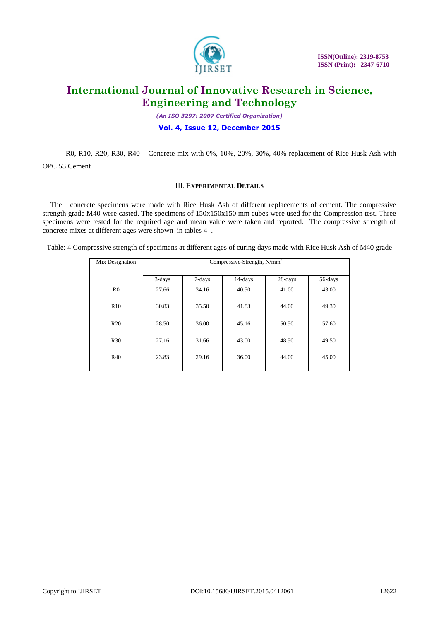

 **ISSN(Online): 2319-8753 ISSN (Print): 2347-6710** 

# **International Journal of Innovative Research in Science, Engineering and Technology**

*(An ISO 3297: 2007 Certified Organization)*

#### **Vol. 4, Issue 12, December 2015**

R0, R10, R20, R30, R40 – Concrete mix with 0%, 10%, 20%, 30%, 40% replacement of Rice Husk Ash with OPC 53 Cement

#### III. **EXPERIMENTAL DETAILS**

The concrete specimens were made with Rice Husk Ash of different replacements of cement. The compressive strength grade M40 were casted. The specimens of 150x150x150 mm cubes were used for the Compression test. Three specimens were tested for the required age and mean value were taken and reported. The compressive strength of concrete mixes at different ages were shown in tables 4 .

Table: 4 Compressive strength of specimens at different ages of curing days made with Rice Husk Ash of M40 grade

| Mix Designation | Compressive-Strength, $N/mm^2$ |        |         |         |         |
|-----------------|--------------------------------|--------|---------|---------|---------|
|                 | 3-days                         | 7-days | 14-days | 28-days | 56-days |
| R <sub>0</sub>  | 27.66                          | 34.16  | 40.50   | 41.00   | 43.00   |
| R10             | 30.83                          | 35.50  | 41.83   | 44.00   | 49.30   |
| R20             | 28.50                          | 36.00  | 45.16   | 50.50   | 57.60   |
| R <sub>30</sub> | 27.16                          | 31.66  | 43.00   | 48.50   | 49.50   |
| R40             | 23.83                          | 29.16  | 36.00   | 44.00   | 45.00   |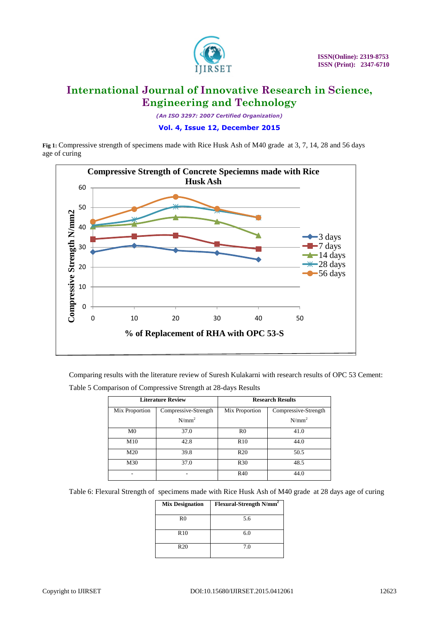

*(An ISO 3297: 2007 Certified Organization)*

**Vol. 4, Issue 12, December 2015**

**Fig 1:** Compressive strength of specimens made with Rice Husk Ash of M40 grade at 3, 7, 14, 28 and 56 days age of curing



Comparing results with the literature review of Suresh Kulakarni with research results of OPC 53 Cement: Table 5 Comparison of Compressive Strength at 28-days Results

| <b>Literature Review</b> |                      | <b>Research Results</b> |                      |
|--------------------------|----------------------|-------------------------|----------------------|
| Mix Proportion           | Compressive-Strength | Mix Proportion          | Compressive-Strength |
|                          | $N/mm^2$             |                         | $N/mm^2$             |
| M <sub>0</sub>           | 37.0                 | R <sub>0</sub>          | 41.0                 |
| M10                      | 42.8                 | R10                     | 44.0                 |
| M20                      | 39.8                 | R <sub>20</sub>         | 50.5                 |
| M30                      | 37.0                 | R <sub>30</sub>         | 48.5                 |
|                          |                      | R40                     | 44.0                 |

Table 6: Flexural Strength of specimens made with Rice Husk Ash of M40 grade at 28 days age of curing

| <b>Mix Designation</b> | Flexural-Strength N/mm <sup>2</sup> |
|------------------------|-------------------------------------|
| R <sub>0</sub>         | 5.6                                 |
| R10                    | 6.0                                 |
| R20                    | 7.0                                 |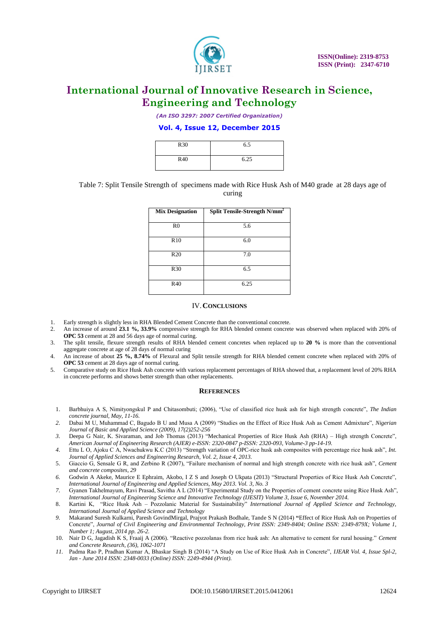

*(An ISO 3297: 2007 Certified Organization)*

#### **Vol. 4, Issue 12, December 2015**

| R <sub>30</sub> | 6.5  |
|-----------------|------|
| R40             | 6.25 |

#### Table 7: Split Tensile Strength of specimens made with Rice Husk Ash of M40 grade at 28 days age of curing

| <b>Mix Designation</b> | Split Tensile-Strength N/mm <sup>2</sup> |
|------------------------|------------------------------------------|
| R <sub>0</sub>         | 5.6                                      |
| R10                    | 6.0                                      |
| R20                    | 7.0                                      |
| R <sub>30</sub>        | 6.5                                      |
| R40                    | 6.25                                     |

#### IV.**CONCLUSIONS**

- 1. Early strength is slightly less in RHA Blended Cement Concrete than the conventional concrete.
- 2. An increase of around **23.1 %, 33.9%** compressive strength for RHA blended cement concrete was observed when replaced with 20% of **OPC 53** cement at 28 and 56 days age of normal curing.
- 3. The split tensile, flexure strength results of RHA blended cement concretes when replaced up to **20 %** is more than the conventional aggregate concrete at age of 28 days of normal curing
- 4. An increase of about **25 %, 8.74%** of Flexural and Split tensile strength for RHA blended cement concrete when replaced with 20% of **OPC 53** cement at 28 days age of normal curing.
- 5. Comparative study on Rice Husk Ash concrete with various replacement percentages of RHA showed that, a replacement level of 20% RHA in concrete performs and shows better strength than other replacements.

#### **REFERENCES**

- 1. Barbhuiya A S, Nimityongskul P and Chitasombuti; (2006), "Use of classified rice husk ash for high strength concrete", *The Indian concrete journal, May, 11-16.*
- *2.* Dabai M U, Muhammad C, Bagudo B U and Musa A (2009) "Studies on the Effect of Rice Husk Ash as Cement Admixture", *Nigerian Journal of Basic and Applied Science (2009), 17(2)252-256*
- *3.* Deepa G Nair, K. Sivaraman, and Job Thomas (2013) "Mechanical Properties of Rice Husk Ash (RHA) High strength Concrete", *American Journal of Engineering Research (AJER) e-ISSN: 2320-0847 p-ISSN: 2320-093, Volume-3 pp-14-19.*
- *4.* Ettu L O, Ajoku C A, Nwachukwu K.C (2013) "Strength variation of OPC-rice husk ash composites with percentage rice husk ash", *Int. Journal of Applied Sciences and Engineering Research, Vol. 2, Issue 4, 2013.*
- 5. Giaccio G, Sensale G R, and Zerbino R (2007), "Failure mechanism of normal and high strength concrete with rice husk ash", *Cement and concrete composites, 29*
- *6.* Godwin A Akeke, Maurice E Ephraim, Akobo, I Z S and Joseph O Ukpata (2013) "Structural Properties of Rice Husk Ash Concrete", *International Journal of Engineering and Applied Sciences, May 2013. Vol. 3, No. 3*
- *7.* Gyanen Takhelmayum, Ravi Prasad, Savitha A L (2014) "Experimental Study on the Properties of cement concrete using Rice Husk Ash", *International Journal of Engineering Science and Innovative Technology (IJESIT) Volume 3, Issue 6, November 2014.*
- 8. Kartini K, "Rice Husk Ash Pozzolanic Material for Sustainability" *International Journal of Applied Science and Technology, International Journal of Applied Science and Technology*
- *9.* Makarand Suresh Kulkarni, Paresh GovindMirgal, Prajyot Prakash Bodhale, Tande S N (2014) **"**Effect of Rice Husk Ash on Properties of Concrete", *Journal of Civil Engineering and Environmental Technology, Print ISSN: 2349-8404; Online ISSN: 2349-879X; Volume 1, Number 1; August, 2014 pp. 26-2.*
- 10. Nair D G, Jagadish K S, Fraaij A (2006). "Reactive pozzolanas from rice husk ash: An alternative to cement for rural housing." *Cement and Concrete Research, (36), 1062-1071*
- *11.* Padma Rao P, Pradhan Kumar A, Bhaskar Singh B (2014) "A Study on Use of Rice Husk Ash in Concrete", *IJEAR Vol. 4, Issue Spl-2, Jan - June 2014 ISSN: 2348-0033 (Online) ISSN: 2249-4944 (Print).*